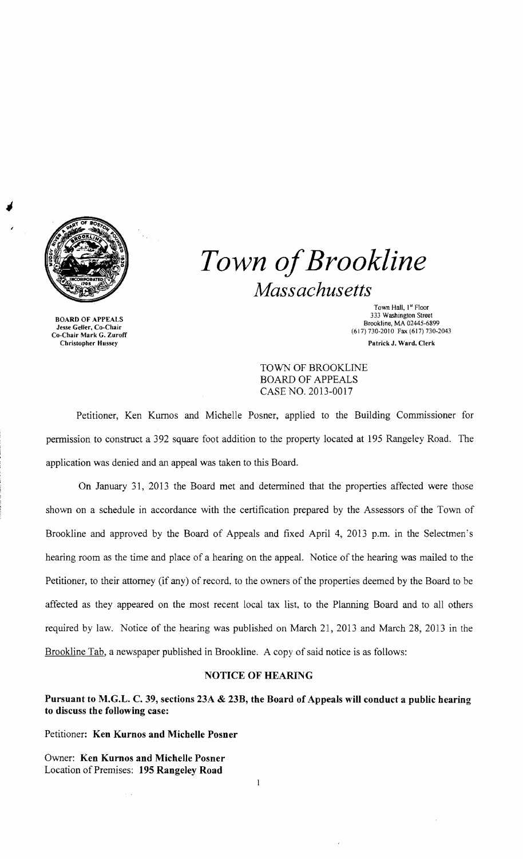

~

BOARD OF APPEALS Jesse Geller, Co-Chair Co-Chair Mark G. Zuroff Christopher Hussey

*Town of Brookline Massachusetts* 

> Town Hall, 1st Floor 333 Washington Street Brookline, MA 02445-6899 (617) 730-2010 Fax (617) 730-2043 Patrick J. Ward. Clerk

TOWN OF BROOKLINE BOARD OF APPEALS CASE NO. 2013-0017

Petitioner, Ken Kurnos and Michelle Posner, applied to the Building Commissioner for permission to construct a 392 square foot addition to the property located at 195 Rangeley Road. The application was denied and an appeal was taken to this Board.

On January 31, 2013 the Board met and determined that the properties affected were those shown on a schedule in accordance with the certification prepared by the Assessors of the Town of Brookline and approved by the Board of Appeals and fixed April 4, 2013 p.m. in the Selectmen's hearing room as the time and place of a hearing on the appeaL Notice of the hearing was mailed to the Petitioner, to their attorney (if any) of record, to the owners of the properties deemed by the Board to be affected as they appeared on the most recent local tax list. to the Planning Board and to all others required by law. Notice of the hearing was published on March 21, 2013 and March 28, 2013 in the Brookline Tab, a newspaper published in Brookline. A copy of said notice is as follows:

## NOTICE OF HEARING

Pursuant to M.G.L. C. 39, sections 23A & 23B, the Board of Appeals will conduct a public hearing to discuss the following case:

 $\mathbf{I}$ 

Petitioner: Ken Kurnos and Michelle Posner

Owner: Ken Kurnos and Michelle Posner Location of Premises: 195 Rangeley Road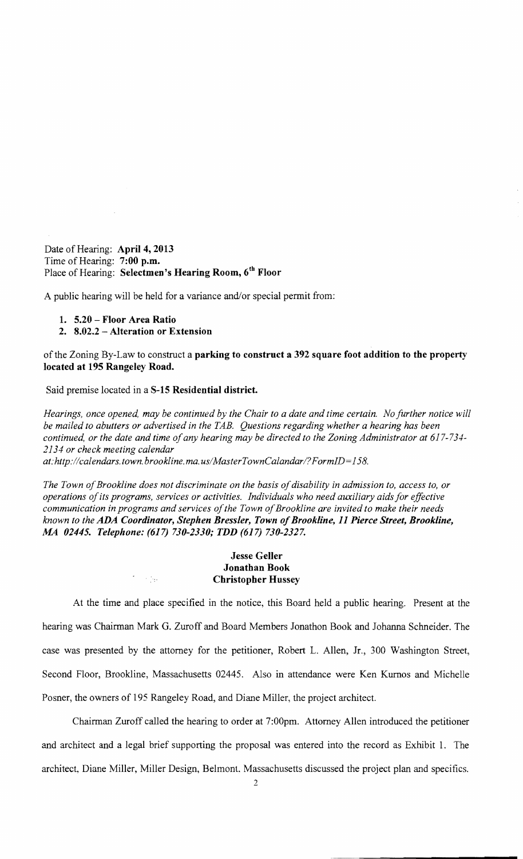Date of Hearing: **April 4, 2013** Time of Hearing: 7:00 p.m. Place of Hearing: Selectmen's Hearing Room, 6<sup>th</sup> Floor

A public hearing will be held for a variance and/or special permit from:

- 1. 5.20 Floor Area Ratio
- 2. 8.02.2 Alteration or Extension

of the Zoning By-Law to construct a parking to construct a 392 square foot addition to the property located at 195 Rangeley Road.

Said premise located in a 8-15 Residential district.

in No

*Hearings, once opened, may be continued by the Chair to a date and time certain. No further notice will be mailed to abutters or advertised in the TAB. Questions regarding whether a hearing has been*  continued, or the date and time of any hearing may be directed to the Zoning Administrator at 617-734-*2134 or check meeting calendar* 

*at: http://calendars.town.brookline.ma.usINfasterTownCalandarl? FormID= 158.* 

The Town of Brookline does not discriminate on the basis of disability in admission to, access to, or *operations ofits programs, services or activities. Individuals who need auxiliary aids for effective*  communication in programs and services of the Town of Brookline are invited to make their needs *known to the ADA Coordinator, Stephen Bressler, Town ofBrookline,* 11 *Pierce Street, Brookline, MA 02445. Telephone:* (617) *730-2330; TDD* (617) *730-2327.* 

## Jesse Geller Jonathan Book Christopher Hussey

At the time and place specified in the notice, this Board held a public hearing. Present at the hearing was Chairman Mark G. Zuroff and Board Members Jonathon Book and Johanna Schneider. The case was presented by the attorney for the petitioner, Robert L. Allen, Jr., 300 Washington Street, Second Floor, Brookline, Massachusetts 02445. Also in attendance were Ken Kurnos and Michelle Posner, the owners of 195 Rangeley Road, and Diane Miller, the project architect.

Chairman Zurotf called the hearing to order at 7:OOpm. Attorney Allen introduced the petitioner and architect and a legal brief supporting the proposal was entered into the record as Exhibit 1. The architect, Diane Miller, Miller Design, Belmont. Massachusetts discussed the project plan and specifics.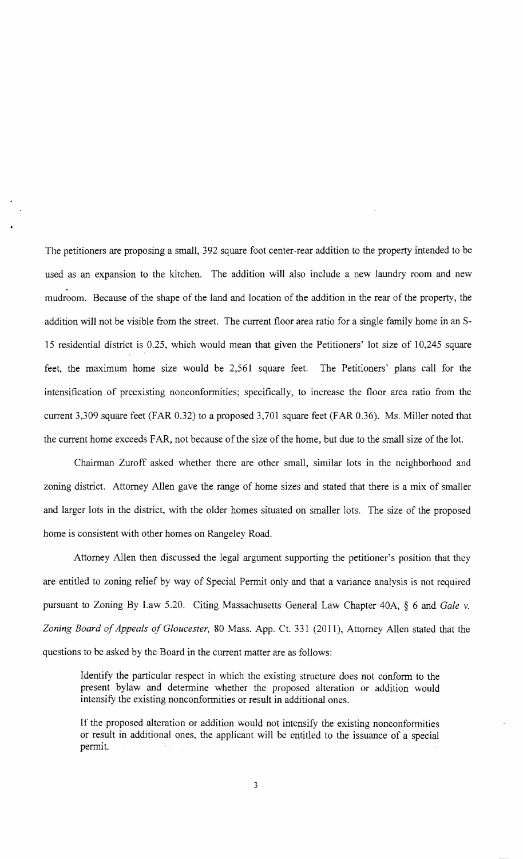The petitioners are proposing a small, 392 square foot center-rear addition to the property intended to be used as an expansion to the kitchen. The addition will also include a new laundry room and new mudroom. Because of the shape of the land and location of the addition in the rear of the property, the addition will not be visible from the street. The current floor area ratio for a single family home in an S-15 residential district is 0.25, which would mean that given the Petitioners' lot size of 10,245 square feet, the maximum home size would be 2,561 square feet. The Petitioners' plans call for the intensification of preexisting nonconformities; specifically, to increase the floor area ratio from the current 3,309 square feet (FAR 0.32) to a proposed 3,701 square feet (FAR 0.36). Ms. Miller noted that the current home exceeds FAR, not because of the size of the home, but due to the small size of the lot.

Chairman Zuroff asked whether there are other small, similar lots in the neighborhood and zoning district. Attorney Allen gave the range of home sizes and stated that there is a mix of smaller and larger lots in the district, with the older homes situated on smaller lots. The size of the proposed home is consistent with other homes on Rangeley Road.

Attorney Allen then discussed the legal argument supporting the petitioner's position that they are entitled to zoning relief by way of Special Permit only and that a variance analysis is not required pursuant to Zoning By Law 5.20. Citing Massachusetts General Law Chapter 40A, § 6 and *Gale* v. Zoning Board of Appeals of Gloucester, 80 Mass. App. Ct. 331 (2011), Attorney Allen stated that the questions to be asked by the Board in the current matter are as follows:

Identify the particular respect in which the existing structure does not conform to the present bylaw and determine whether the proposed alteration or addition would intensify the existing nonconformities or result in additional ones.

If the proposed alteration or addition would not intensify the existing nonconformities or result in additional ones, the applicant will be entitled to the issuance of a special permit.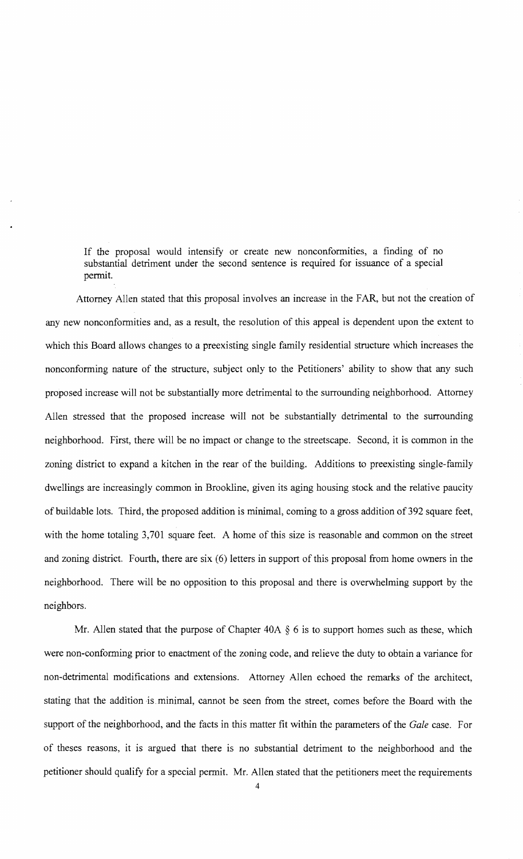If the proposal would intensify or create new nonconformities, a finding of no substantial detriment under the second sentence is required for issuance of a special permit.

Attorney Allen stated that this proposal involves an increase in the FAR, but not the creation of any new nonconformities and, as a result, the resolution of this appeal is dependent upon the extent to which this Board allows changes to a preexisting single family residential structure which increases the nonconforming nature of the structure, subject only to the Petitioners' ability to show that any such proposed increase will not be substantially more detrimental to the surrounding neighborhood. Attorney Allen stressed that the proposed increase will not be substantially detrimental to the surrounding neighborhood. First, there will be no impact or change to the streetscape. Second, it is common in the zoning district to expand a kitchen in the rear of the building. Additions to preexisting single-family dwellings are increasingly common in Brookline, given its aging housing stock and the relative paucity of buildable lots. Third, the proposed addition is minimal, coming to a gross addition of 392 square feet, with the home totaling 3,701 square feet. A home of this size is reasonable and common on the street and zoning district. Fourth, there are six (6) letters in support of this proposal from home owners in the neighborhood. There will be no opposition to this proposal and there is overwhelming support by the neighbors.

Mr. Allen stated that the purpose of Chapter  $40A \S 6$  is to support homes such as these, which were non-conforming prior to enactment of the zoning code, and relieve the duty to obtain a variance for non-detrimental modifications and extensions. Attorney Allen echoed the remarks of the architect, stating that the addition ·is. minimal, cannot be seen from the street, comes before the Board with the support of the neighborhood, and the facts in this matter fit within the parameters of the *Gale* case. For of theses reasons, it is argued that there is no substantial detriment to the neighborhood and the petitioner should qualify for a special permit. Mr. Allen stated that the petitioners meet the requirements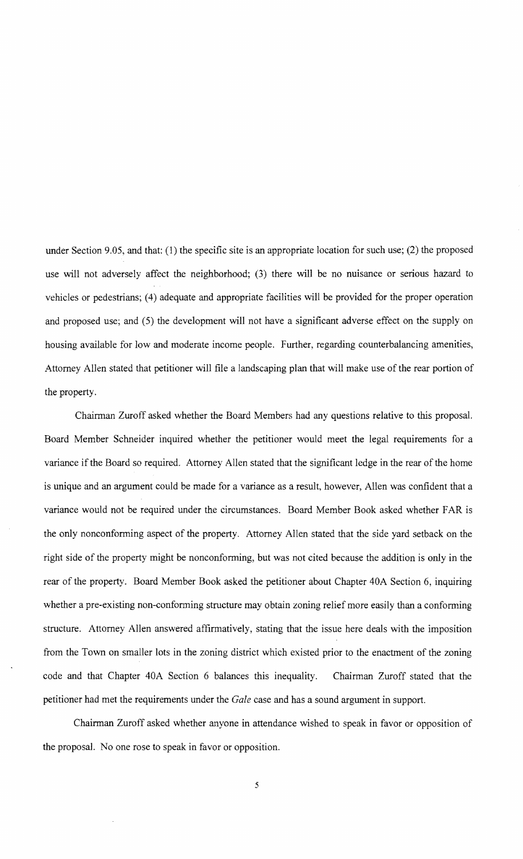under Section 9.05, and that: (1) the specific site is an appropriate location for such use; (2) the proposed use will not adversely affect the neighborhood; (3) there will be no nuisance or serious hazard to vehicles or pedestrians; (4) adequate and appropriate facilities will be provided for the proper operation and proposed use; and (5) the development will not have a significant adverse effect on the supply on housing available for low and moderate income people. Further, regarding counterbalancing amenities, Attorney Allen stated that petitioner will file a landscaping plan that will make use of the rear portion of the property.

Chairman Zuroff asked whether the Board Members had any questions relative to this proposal. Board Member Schneider inquired whether the petitioner would meet the legal requirements for a variance if the Board so required. Attorney Allen stated that the significant ledge in the rear of the home is unique and an argument could be made for a variance as a result, however, Allen was confident that a variance would not be required under the circumstances. Board Member Book asked whether FAR is the only nonconforming aspect of the property. Attorney Allen stated that the side yard setback on the right side of the property might be nonconforming, but was not cited because the addition is only in the rear of the property. Board Member Book asked the petitioner about Chapter 40A Section 6, inquiring whether a pre-existing non-conforming structure may obtain zoning relief more easily than a conforming structure. Attorney Allen answered affirmatively, stating that the issue here deals with the imposition from the Town on smaller lots in the zoning district which existed prior to the enactment of the zoning code and that Chapter 40A Section 6 balances this inequality. Chairman Zuroff stated that the petitioner had met the requirements under the *Gale* case and has a sound argument in support.

Chairman Zuroff asked whether anyone in attendance wished to speak in favor or opposition of the proposal. No one rose to speak in favor or opposition.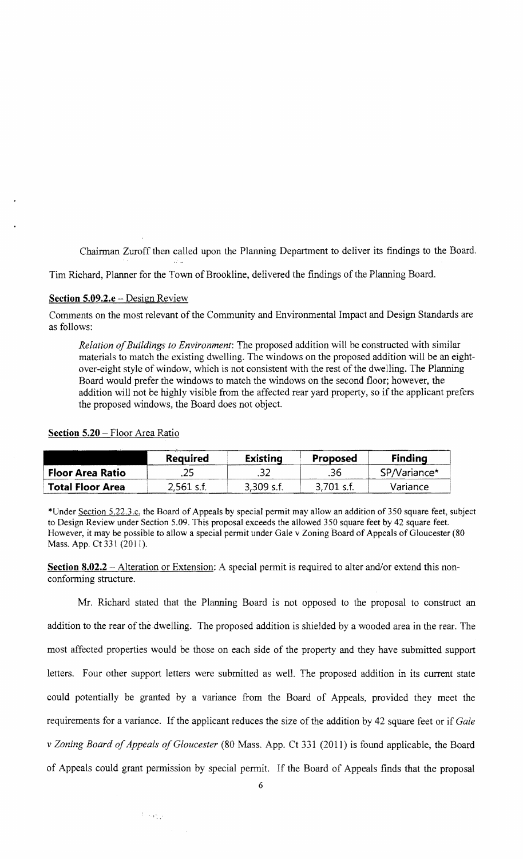Chairman Zuroff then called upon the Planning Department to deliver its findings to the Board.

Tim Richard, Planner for the Town of Brookline, delivered the findings ofthe Planning Board.

## **Section 5.09.2.e** - Design Review

Comments on the most relevant of the Community and Environmental Impact and Design Standards are as follows:

*Relation of Buildings to Environment*: The proposed addition will be constructed with similar materials to match the existing dwelling. The windows on the proposed addition will be an eightover-eight style of window, which is not consistent with the rest of the dwelling. The Planning Board would prefer the windows to match the windows on the second floor; however, the addition will not be highly visible from the affected rear yard property, so if the applicant prefers the proposed windows, the Board does not object.

|                         | <b>Required</b> | <b>Existing</b> | Proposed     | <b>Finding</b> |
|-------------------------|-----------------|-----------------|--------------|----------------|
| <b>Floor Area Ratio</b> | .25             | .32             | .36          | SP/Variance*   |
| <b>Total Floor Area</b> | $2,561$ s.f.    | $3,309$ s.f.    | $3,701$ s.f. | Variance       |

## **Section 5.20** - Floor Area Ratio

\*Under Section 5.22.3.c, the Board of Appeals by special pennit may allow an addition of350 square feet, subject to Design Review under Section 5.09. This proposal exceeds the allowed 350 square feet by 42 square feet. However, it may be possible to allow a special permit under Gale v Zoning Board of Appeals of Gloucester (80 Mass. App. Ct 331 (2011).

**Section 8.02.2** – Alteration or Extension: A special permit is required to alter and/or extend this nonconforming structure.

Mr. Richard stated that the Planning Board is not opposed to the proposal to construct an addition to the rear of the dwelling. The proposed addition is shielded by a wooded area in the rear. The most affected properties would be those on each side of the property and they have submitted support letters. Four other support letters were submitted as well. The proposed addition in its current state could potentially be granted by a variance from the Board of Appeals, provided they meet the requirements for a variance. If the applicant reduces the size of the addition by 42 square feet or if *Gale*  v Zoning Board of Appeals of Gloucester (80 Mass. App. Ct 331 (2011) is found applicable, the Board of Appeals could grant permission by special permit. If the Board of Appeals finds that the proposal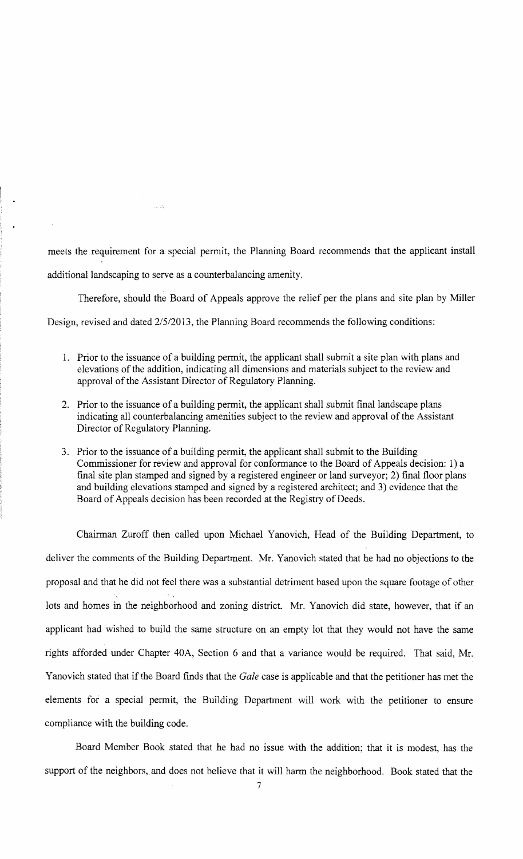meets the requirement for a special permit, the Planning Board recommends that the applicant install additional landscaping to serve as a counterbalancing amenity.

Therefore, should the Board of Appeals approve the relief per the plans and site plan by Miller Design, revised and dated 2/5/2013, the Planning Board recommends the following conditions:

- 1. Prior to the issuance of a building permit, the applicant shall submit a site plan with plans and elevations of the addition, indicating all dimensions and materials subject to the review and approval of the Assistant Director of Regulatory Planning.
- 2. Prior to the issuance of a building permit, the applicant shall submit final landscape plans indicating all counterbalancing amenities subject to the review and approval of the Assistant Director of Regulatory Planning.
- 3. Prior to the issuance of a building permit, the applicant shall submit to the Building Commissioner for review and approval for conformance to the Board of Appeals decision: 1) a final site plan stamped and signed by a registered engineer or land surveyor; 2) final floor plans and building elevations stamped and signed by a registered architect; and 3) evidence that the Board of Appeals decision has been recorded at the Registry of Deeds.

Chairman Zuroff then called upon Michael Yanovich, Head of the Building Department, to deliver the comments of the Building Department. Mr. Yanovich stated that he had no objections to the proposal and that he did not feel there was a substantial detriment based upon the square footage of other lots and homes in the neighborhood and zoning district. Mr. Yanovich did state, however, that if an applicant had wished to build the same structure on an empty lot that they would not have the same rights afforded under Chapter 40A, Section 6 and that a variance would be required. That said, Mr. Yanovich stated that if the Board finds that the *Gale* case is applicable and that the petitioner has met the elements for a special permit, the Building Department will work with the petitioner to ensure compliance with the building code.

Board Member Book stated that he had no issue with the addition; that it is modest, has the support of the neighbors, and does not believe that it will harm the neighborhood. Book stated that the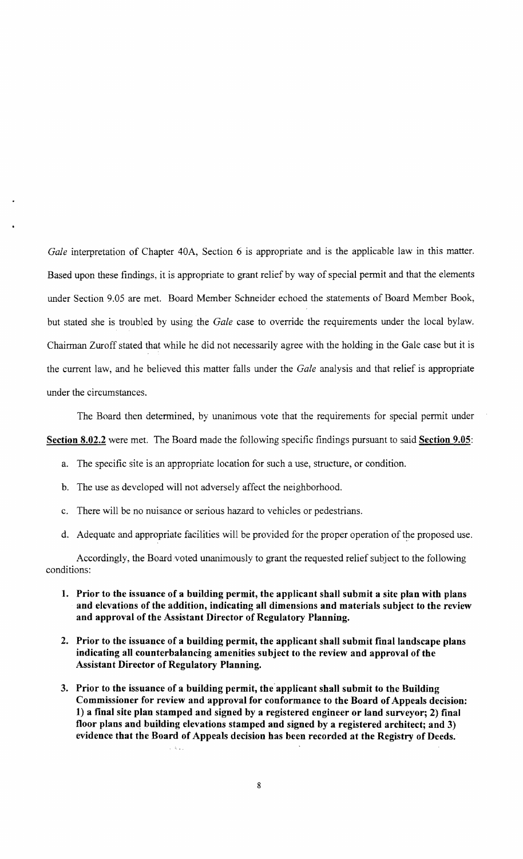*Gale* interpretation of Chapter 40A, Section 6 is appropriate and is the applicable law in this matter. Based upon these findings, it is appropriate to grant relief by way of special permit and that the elements under Section 9.05 are met. Board Member Schneider echoed the statements of Board Member Book, but stated she is troubled by using the *Gale* case to override the requirements under the local bylaw. Chairman Zuroff stated that while he did not necessarily agree with the holding in the Gale case but it is the current law, and he believed this matter falls under the *Gale* analysis and that relief is appropriate under the circumstances.

The Board then determined, by unanimous vote that the requirements for special permit under Section 8.02.2 were met. The Board made the following specific findings pursuant to said Section 9.05:

- a. The specific site is an appropriate location for such a use, structure, or condition.
- b. The use as developed will not adversely affect the neighborhood.

 $\zeta \in \zeta$  .

- c. There will be no nuisance or serious hazard to vehicles or pedestrians.
- d. Adequate and appropriate facilities will be provided for the proper operation of the proposed use.

Accordingly, the Board voted unanimously to grant the requested relief subject to the following conditions:

- 1. Prior to the issuance of a building permit, the applicant shall submit a site plan with plans and elevations of the addition, indicating all dimensions and materials subject to the review and approval of the Assistant Director of Regulatory Planning.
- 2. Prior to the issuance of a building permit, the applicant shall submit final landscape plans indicating all counterbalancing amenities subject to the review and approval of the Assistant Director of Regulatory Planning.
- 3. Prior to the issuance of a building permit, the applicant shall submit to the Building Commissioner for review and approval for conformance to the Board of Appeals decision: 1) a final site plan stamped and signed by a registered engineer or land surveyor; 2) final floor plans and building elevations stamped and signed by a registered architect; and 3) evidence that the Board of Appeals decision has been recorded at the Registry of Deeds.